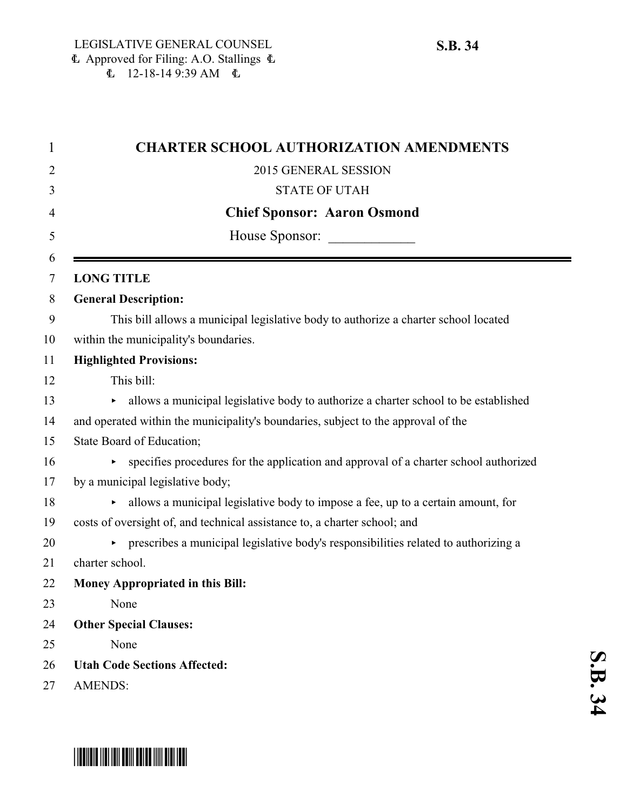| <b>CHARTER SCHOOL AUTHORIZATION AMENDMENTS</b>                                       |
|--------------------------------------------------------------------------------------|
| 2015 GENERAL SESSION                                                                 |
| <b>STATE OF UTAH</b>                                                                 |
| <b>Chief Sponsor: Aaron Osmond</b>                                                   |
| House Sponsor:                                                                       |
|                                                                                      |
| <b>LONG TITLE</b>                                                                    |
| <b>General Description:</b>                                                          |
| This bill allows a municipal legislative body to authorize a charter school located  |
| within the municipality's boundaries.                                                |
| <b>Highlighted Provisions:</b>                                                       |
| This bill:                                                                           |
| allows a municipal legislative body to authorize a charter school to be established  |
| and operated within the municipality's boundaries, subject to the approval of the    |
| State Board of Education;                                                            |
| specifies procedures for the application and approval of a charter school authorized |
| by a municipal legislative body;                                                     |
| allows a municipal legislative body to impose a fee, up to a certain amount, for     |
| costs of oversight of, and technical assistance to, a charter school; and            |
| prescribes a municipal legislative body's responsibilities related to authorizing a  |
| charter school.                                                                      |
| <b>Money Appropriated in this Bill:</b>                                              |
| None                                                                                 |
| <b>Other Special Clauses:</b>                                                        |
| None                                                                                 |
| <b>Utah Code Sections Affected:</b>                                                  |
| <b>AMENDS:</b>                                                                       |

# \*SB0034\*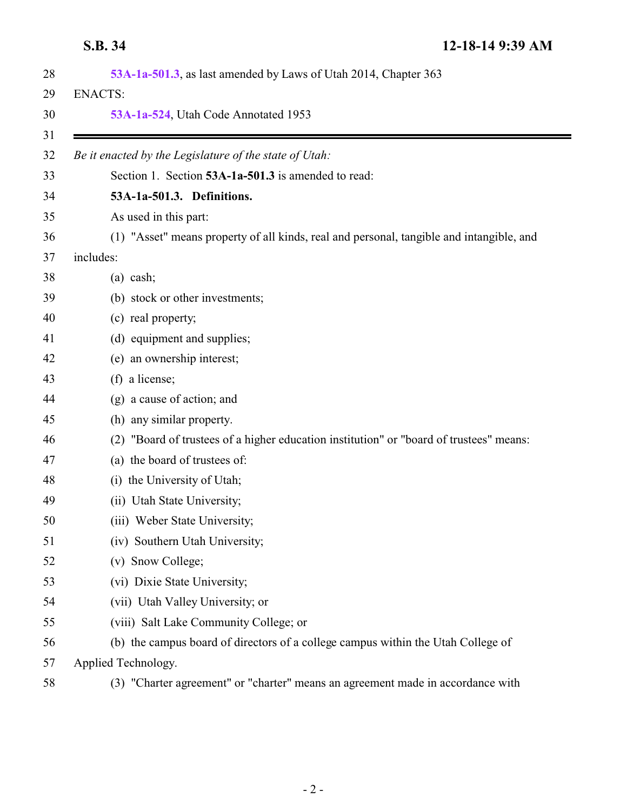<span id="page-1-0"></span>**S.B. 34 12-18-14 9:39 AM**

| 53A-1a-501.3, as last amended by Laws of Utah 2014, Chapter 363                          |
|------------------------------------------------------------------------------------------|
| <b>ENACTS:</b><br>53A-1a-524, Utah Code Annotated 1953                                   |
| Be it enacted by the Legislature of the state of Utah:                                   |
| Section 1. Section 53A-1a-501.3 is amended to read:                                      |
| 53A-1a-501.3. Definitions.                                                               |
| As used in this part:                                                                    |
| (1) "Asset" means property of all kinds, real and personal, tangible and intangible, and |
| includes:                                                                                |
| $(a)$ cash;                                                                              |
| (b) stock or other investments;                                                          |
| (c) real property;                                                                       |
| (d) equipment and supplies;                                                              |
| (e) an ownership interest;                                                               |
| (f) a license;                                                                           |
| (g) a cause of action; and                                                               |
| (h) any similar property.                                                                |
| (2) "Board of trustees of a higher education institution" or "board of trustees" means:  |
| (a) the board of trustees of:                                                            |
| (i) the University of Utah;                                                              |
| (ii) Utah State University;                                                              |
| (iii) Weber State University;                                                            |
| (iv) Southern Utah University;                                                           |
| (v) Snow College;                                                                        |
| (vi) Dixie State University;                                                             |
| (vii) Utah Valley University; or                                                         |
| (viii) Salt Lake Community College; or                                                   |
| (b) the campus board of directors of a college campus within the Utah College of         |
| Applied Technology.                                                                      |
| (3) "Charter agreement" or "charter" means an agreement made in accordance with          |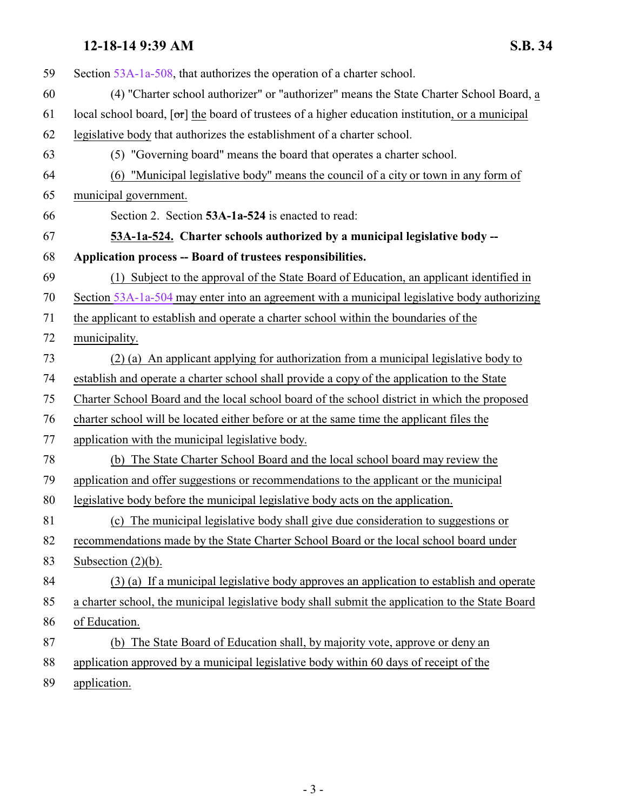## <span id="page-2-0"></span>**12-18-14 9:39 AM S.B. 34**

| 59 | Section 53A-1a-508, that authorizes the operation of a charter school.                                               |
|----|----------------------------------------------------------------------------------------------------------------------|
| 60 | (4) "Charter school authorizer" or "authorizer" means the State Charter School Board, a                              |
| 61 | local school board, $\lceil \sigma r \rceil$ the board of trustees of a higher education institution, or a municipal |
| 62 | legislative body that authorizes the establishment of a charter school.                                              |
| 63 | (5) "Governing board" means the board that operates a charter school.                                                |
| 64 | "Municipal legislative body" means the council of a city or town in any form of<br>(6)                               |
| 65 | municipal government.                                                                                                |
| 66 | Section 2. Section 53A-1a-524 is enacted to read:                                                                    |
| 67 | 53A-1a-524. Charter schools authorized by a municipal legislative body --                                            |
| 68 | Application process -- Board of trustees responsibilities.                                                           |
| 69 | (1) Subject to the approval of the State Board of Education, an applicant identified in                              |
| 70 | Section 53A-1a-504 may enter into an agreement with a municipal legislative body authorizing                         |
| 71 | the applicant to establish and operate a charter school within the boundaries of the                                 |
| 72 | municipality.                                                                                                        |
| 73 | (2) (a) An applicant applying for authorization from a municipal legislative body to                                 |
| 74 | establish and operate a charter school shall provide a copy of the application to the State                          |
| 75 | Charter School Board and the local school board of the school district in which the proposed                         |
| 76 | charter school will be located either before or at the same time the applicant files the                             |
| 77 | application with the municipal legislative body.                                                                     |
| 78 | (b) The State Charter School Board and the local school board may review the                                         |
| 79 | application and offer suggestions or recommendations to the applicant or the municipal                               |
| 80 | legislative body before the municipal legislative body acts on the application.                                      |
| 81 | (c) The municipal legislative body shall give due consideration to suggestions or                                    |
| 82 | recommendations made by the State Charter School Board or the local school board under                               |
| 83 | Subsection $(2)(b)$ .                                                                                                |
| 84 | (3) (a) If a municipal legislative body approves an application to establish and operate                             |
| 85 | a charter school, the municipal legislative body shall submit the application to the State Board                     |
| 86 | of Education.                                                                                                        |
| 87 | (b) The State Board of Education shall, by majority vote, approve or deny an                                         |
| 88 | application approved by a municipal legislative body within 60 days of receipt of the                                |
| 89 | application.                                                                                                         |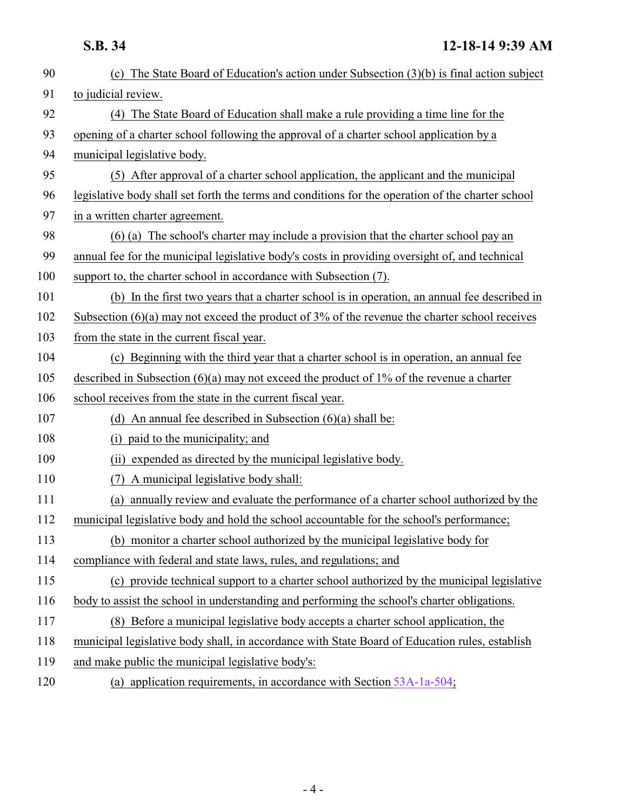| 90  | (c) The State Board of Education's action under Subsection $(3)(b)$ is final action subject       |
|-----|---------------------------------------------------------------------------------------------------|
| 91  | to judicial review.                                                                               |
| 92  | (4) The State Board of Education shall make a rule providing a time line for the                  |
| 93  | opening of a charter school following the approval of a charter school application by a           |
| 94  | municipal legislative body.                                                                       |
| 95  | (5) After approval of a charter school application, the applicant and the municipal               |
| 96  | legislative body shall set forth the terms and conditions for the operation of the charter school |
| 97  | in a written charter agreement.                                                                   |
| 98  | (6) (a) The school's charter may include a provision that the charter school pay an               |
| 99  | annual fee for the municipal legislative body's costs in providing oversight of, and technical    |
| 100 | support to, the charter school in accordance with Subsection (7).                                 |
| 101 | (b) In the first two years that a charter school is in operation, an annual fee described in      |
| 102 | Subsection $(6)(a)$ may not exceed the product of 3% of the revenue the charter school receives   |
| 103 | from the state in the current fiscal year.                                                        |
| 104 | (c) Beginning with the third year that a charter school is in operation, an annual fee            |
| 105 | described in Subsection $(6)(a)$ may not exceed the product of 1% of the revenue a charter        |
| 106 | school receives from the state in the current fiscal year.                                        |
| 107 | (d) An annual fee described in Subsection $(6)(a)$ shall be:                                      |
| 108 | paid to the municipality; and<br>(i)                                                              |
| 109 | (ii) expended as directed by the municipal legislative body.                                      |
| 110 | A municipal legislative body shall:<br>(7)                                                        |
| 111 | (a) annually review and evaluate the performance of a charter school authorized by the            |
| 112 | municipal legislative body and hold the school accountable for the school's performance;          |
| 113 | (b) monitor a charter school authorized by the municipal legislative body for                     |
| 114 | compliance with federal and state laws, rules, and regulations; and                               |
| 115 | (c) provide technical support to a charter school authorized by the municipal legislative         |
| 116 | body to assist the school in understanding and performing the school's charter obligations.       |
| 117 | (8) Before a municipal legislative body accepts a charter school application, the                 |
| 118 | municipal legislative body shall, in accordance with State Board of Education rules, establish    |
| 119 | and make public the municipal legislative body's:                                                 |
| 120 | (a) application requirements, in accordance with Section $53A-1a-504$ ;                           |